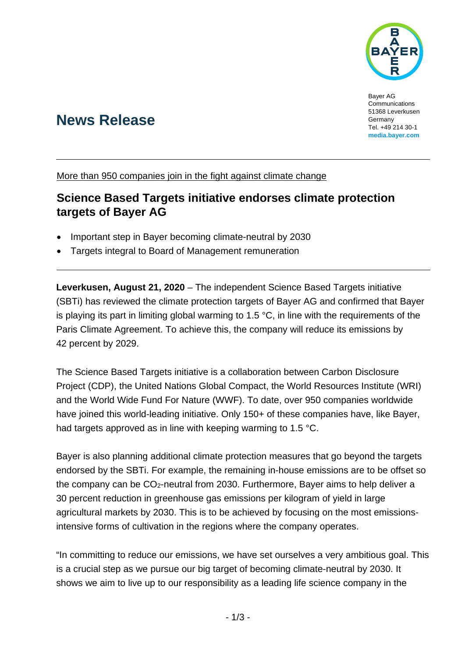

Bayer AG Communications 51368 Leverkusen Germany Tel. +49 214 30-1 **[media.bayer.com](http://media.bayer.de/)**

# **News Release**

More than 950 companies join in the fight against climate change

## **Science Based Targets initiative endorses climate protection targets of Bayer AG**

- Important step in Bayer becoming climate-neutral by 2030
- Targets integral to Board of Management remuneration

**Leverkusen, August 21, 2020** – The independent Science Based Targets initiative (SBTi) has reviewed the climate protection targets of Bayer AG and confirmed that Bayer is playing its part in limiting global warming to 1.5 °C, in line with the requirements of the Paris Climate Agreement. To achieve this, the company will reduce its emissions by 42 percent by 2029.

The Science Based Targets initiative is a collaboration between Carbon Disclosure Project (CDP), the United Nations Global Compact, the World Resources Institute (WRI) and the World Wide Fund For Nature (WWF). To date, over 950 companies worldwide have joined this world-leading initiative. Only 150+ of these companies have, like Bayer, had targets approved as in line with keeping warming to 1.5 °C.

Bayer is also planning additional climate protection measures that go beyond the targets endorsed by the SBTi. For example, the remaining in-house emissions are to be offset so the company can be CO2-neutral from 2030. Furthermore, Bayer aims to help deliver a 30 percent reduction in greenhouse gas emissions per kilogram of yield in large agricultural markets by 2030. This is to be achieved by focusing on the most emissionsintensive forms of cultivation in the regions where the company operates.

"In committing to reduce our emissions, we have set ourselves a very ambitious goal. This is a crucial step as we pursue our big target of becoming climate-neutral by 2030. It shows we aim to live up to our responsibility as a leading life science company in the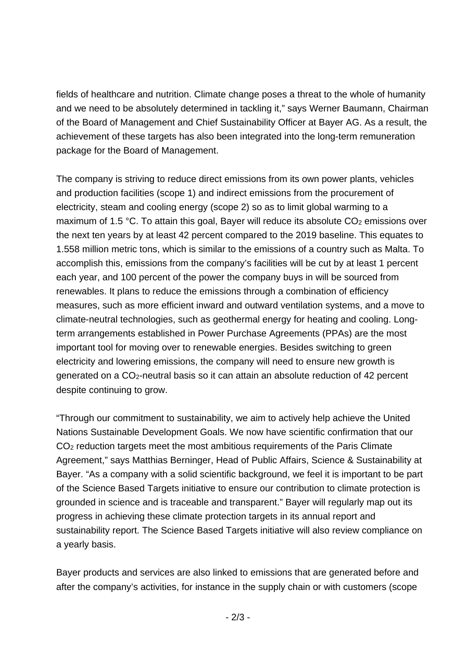fields of healthcare and nutrition. Climate change poses a threat to the whole of humanity and we need to be absolutely determined in tackling it," says Werner Baumann, Chairman of the Board of Management and Chief Sustainability Officer at Bayer AG. As a result, the achievement of these targets has also been integrated into the long-term remuneration package for the Board of Management.

The company is striving to reduce direct emissions from its own power plants, vehicles and production facilities (scope 1) and indirect emissions from the procurement of electricity, steam and cooling energy (scope 2) so as to limit global warming to a maximum of 1.5  $\degree$ C. To attain this goal, Bayer will reduce its absolute  $CO<sub>2</sub>$  emissions over the next ten years by at least 42 percent compared to the 2019 baseline. This equates to 1.558 million metric tons, which is similar to the emissions of a country such as Malta. To accomplish this, emissions from the company's facilities will be cut by at least 1 percent each year, and 100 percent of the power the company buys in will be sourced from renewables. It plans to reduce the emissions through a combination of efficiency measures, such as more efficient inward and outward ventilation systems, and a move to climate-neutral technologies, such as geothermal energy for heating and cooling. Longterm arrangements established in Power Purchase Agreements (PPAs) are the most important tool for moving over to renewable energies. Besides switching to green electricity and lowering emissions, the company will need to ensure new growth is generated on a CO2-neutral basis so it can attain an absolute reduction of 42 percent despite continuing to grow.

"Through our commitment to sustainability, we aim to actively help achieve the United Nations Sustainable Development Goals. We now have scientific confirmation that our CO2 reduction targets meet the most ambitious requirements of the Paris Climate Agreement," says Matthias Berninger, Head of Public Affairs, Science & Sustainability at Bayer. "As a company with a solid scientific background, we feel it is important to be part of the Science Based Targets initiative to ensure our contribution to climate protection is grounded in science and is traceable and transparent." Bayer will regularly map out its progress in achieving these climate protection targets in its annual report and sustainability report. The Science Based Targets initiative will also review compliance on a yearly basis.

Bayer products and services are also linked to emissions that are generated before and after the company's activities, for instance in the supply chain or with customers (scope